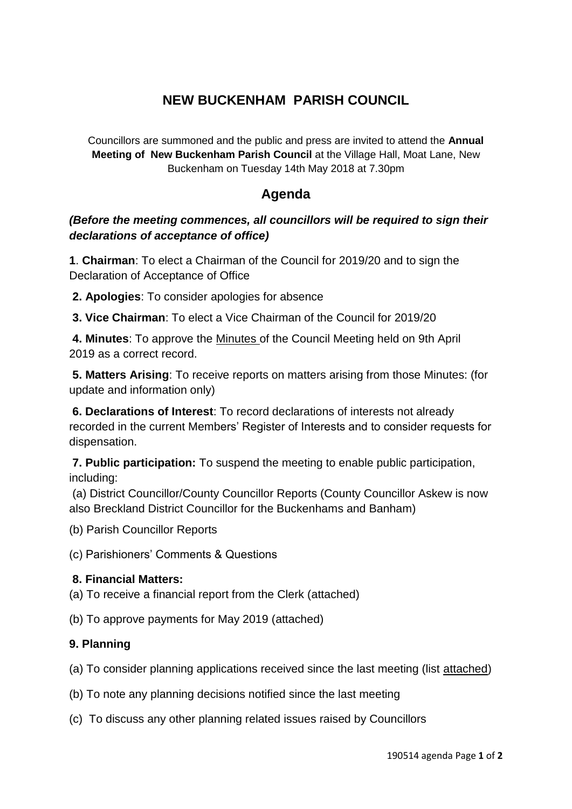# **NEW BUCKENHAM PARISH COUNCIL**

Councillors are summoned and the public and press are invited to attend the **Annual Meeting of New Buckenham Parish Council** at the Village Hall, Moat Lane, New Buckenham on Tuesday 14th May 2018 at 7.30pm

## **Agenda**

## *(Before the meeting commences, all councillors will be required to sign their declarations of acceptance of office)*

**1**. **Chairman**: To elect a Chairman of the Council for 2019/20 and to sign the Declaration of Acceptance of Office

**2. Apologies**: To consider apologies for absence

**3. Vice Chairman**: To elect a Vice Chairman of the Council for 2019/20

**4. Minutes**: To approve the Minutes of the Council Meeting held on 9th April 2019 as a correct record.

**5. Matters Arising**: To receive reports on matters arising from those Minutes: (for update and information only)

**6. Declarations of Interest**: To record declarations of interests not already recorded in the current Members' Register of Interests and to consider requests for dispensation.

**7. Public participation:** To suspend the meeting to enable public participation, including:

(a) District Councillor/County Councillor Reports (County Councillor Askew is now also Breckland District Councillor for the Buckenhams and Banham)

(b) Parish Councillor Reports

(c) Parishioners' Comments & Questions

## **8. Financial Matters:**

(a) To receive a financial report from the Clerk (attached)

(b) To approve payments for May 2019 (attached)

## **9. Planning**

(a) To consider planning applications received since the last meeting (list attached)

- (b) To note any planning decisions notified since the last meeting
- (c) To discuss any other planning related issues raised by Councillors